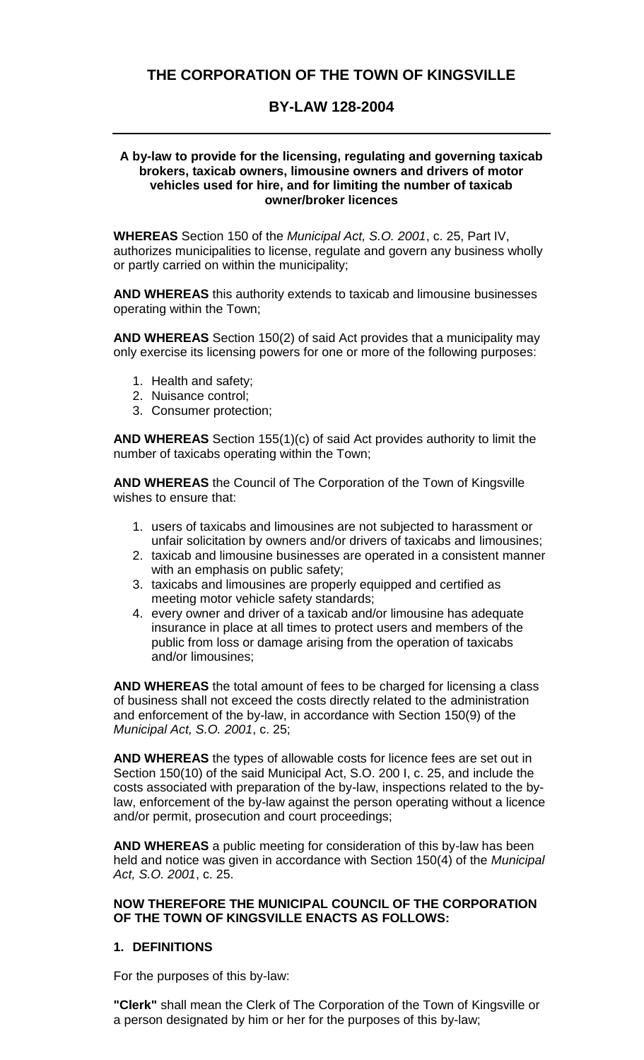# **THE CORPORATION OF THE TOWN OF KINGSVILLE**

# **BY-LAW 128-2004**

#### **A by-law to provide for the licensing, regulating and governing taxicab brokers, taxicab owners, limousine owners and drivers of motor vehicles used for hire, and for limiting the number of taxicab owner/broker licences**

**WHEREAS** Section 150 of the *Municipal Act, S.O. 2001*, c. 25, Part IV, authorizes municipalities to license, regulate and govern any business wholly or partly carried on within the municipality;

**AND WHEREAS** this authority extends to taxicab and limousine businesses operating within the Town;

**AND WHEREAS** Section 150(2) of said Act provides that a municipality may only exercise its licensing powers for one or more of the following purposes:

- 1. Health and safety;
- 2. Nuisance control;
- 3. Consumer protection;

**AND WHEREAS** Section 155(1)(c) of said Act provides authority to limit the number of taxicabs operating within the Town;

**AND WHEREAS** the Council of The Corporation of the Town of Kingsville wishes to ensure that:

- 1. users of taxicabs and limousines are not subjected to harassment or unfair solicitation by owners and/or drivers of taxicabs and limousines;
- 2. taxicab and limousine businesses are operated in a consistent manner with an emphasis on public safety;
- 3. taxicabs and limousines are properly equipped and certified as meeting motor vehicle safety standards;
- 4. every owner and driver of a taxicab and/or limousine has adequate insurance in place at all times to protect users and members of the public from loss or damage arising from the operation of taxicabs and/or limousines;

**AND WHEREAS** the total amount of fees to be charged for licensing a class of business shall not exceed the costs directly related to the administration and enforcement of the by-law, in accordance with Section 150(9) of the *Municipal Act, S.O. 2001*, c. 25;

**AND WHEREAS** the types of allowable costs for licence fees are set out in Section 150(10) of the said Municipal Act, S.O. 200 I, c. 25, and include the costs associated with preparation of the by-law, inspections related to the bylaw, enforcement of the by-law against the person operating without a licence and/or permit, prosecution and court proceedings;

**AND WHEREAS** a public meeting for consideration of this by-law has been held and notice was given in accordance with Section 150(4) of the *Municipal Act, S.O. 2001*, c. 25.

#### **NOW THEREFORE THE MUNICIPAL COUNCIL OF THE CORPORATION OF THE TOWN OF KINGSVILLE ENACTS AS FOLLOWS:**

#### **1. DEFINITIONS**

For the purposes of this by-law:

**"Clerk"** shall mean the Clerk of The Corporation of the Town of Kingsville or a person designated by him or her for the purposes of this by-law;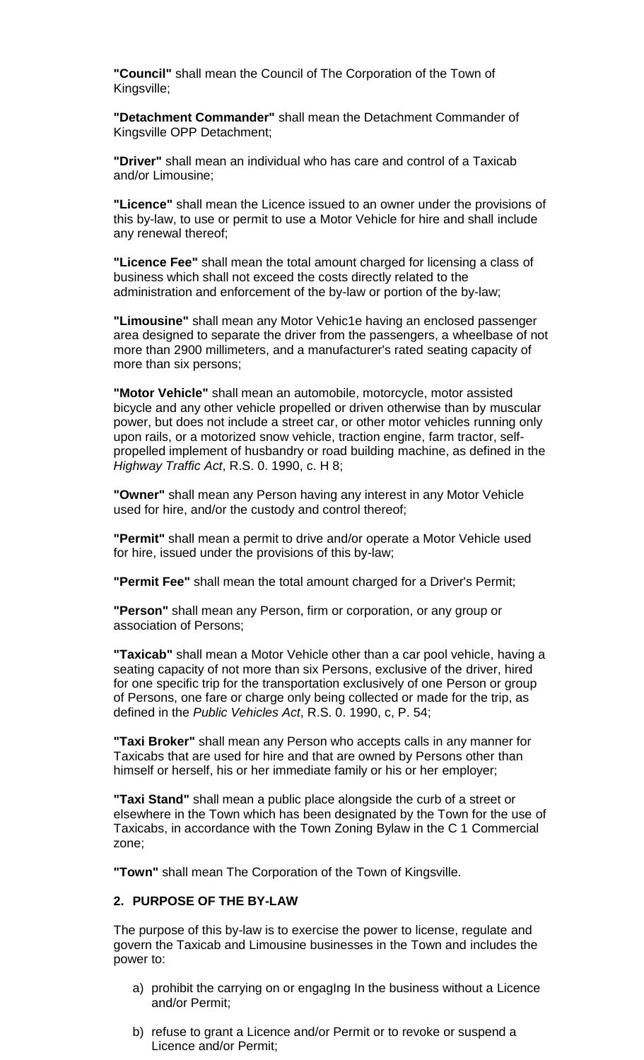**"Council"** shall mean the Council of The Corporation of the Town of Kingsville;

**"Detachment Commander"** shall mean the Detachment Commander of Kingsville OPP Detachment;

**"Driver"** shall mean an individual who has care and control of a Taxicab and/or Limousine;

**"Licence"** shall mean the Licence issued to an owner under the provisions of this by-law, to use or permit to use a Motor Vehicle for hire and shall include any renewal thereof;

**"Licence Fee"** shall mean the total amount charged for licensing a class of business which shall not exceed the costs directly related to the administration and enforcement of the by-law or portion of the by-law;

**"Limousine"** shall mean any Motor Vehic1e having an enclosed passenger area designed to separate the driver from the passengers, a wheelbase of not more than 2900 millimeters, and a manufacturer's rated seating capacity of more than six persons;

**"Motor Vehicle"** shall mean an automobile, motorcycle, motor assisted bicycle and any other vehicle propelled or driven otherwise than by muscular power, but does not include a street car, or other motor vehicles running only upon rails, or a motorized snow vehicle, traction engine, farm tractor, selfpropelled implement of husbandry or road building machine, as defined in the *Highway Traffic Act*, R.S. 0. 1990, c. H 8;

**"Owner"** shall mean any Person having any interest in any Motor Vehicle used for hire, and/or the custody and control thereof;

**"Permit"** shall mean a permit to drive and/or operate a Motor Vehicle used for hire, issued under the provisions of this by-law;

**"Permit Fee"** shall mean the total amount charged for a Driver's Permit;

**"Person"** shall mean any Person, firm or corporation, or any group or association of Persons;

**"Taxicab"** shall mean a Motor Vehicle other than a car pool vehicle, having a seating capacity of not more than six Persons, exclusive of the driver, hired for one specific trip for the transportation exclusively of one Person or group of Persons, one fare or charge only being collected or made for the trip, as defined in the *Public Vehicles Act*, R.S. 0. 1990, c, P. 54;

**"Taxi Broker"** shall mean any Person who accepts calls in any manner for Taxicabs that are used for hire and that are owned by Persons other than himself or herself, his or her immediate family or his or her employer;

**"Taxi Stand"** shall mean a public place alongside the curb of a street or elsewhere in the Town which has been designated by the Town for the use of Taxicabs, in accordance with the Town Zoning Bylaw in the C 1 Commercial zone;

**"Town"** shall mean The Corporation of the Town of Kingsville.

#### **2. PURPOSE OF THE BY-LAW**

The purpose of this by-law is to exercise the power to license, regulate and govern the Taxicab and Limousine businesses in the Town and includes the power to:

- a) prohibit the carrying on or engagIng In the business without a Licence and/or Permit;
- b) refuse to grant a Licence and/or Permit or to revoke or suspend a Licence and/or Permit;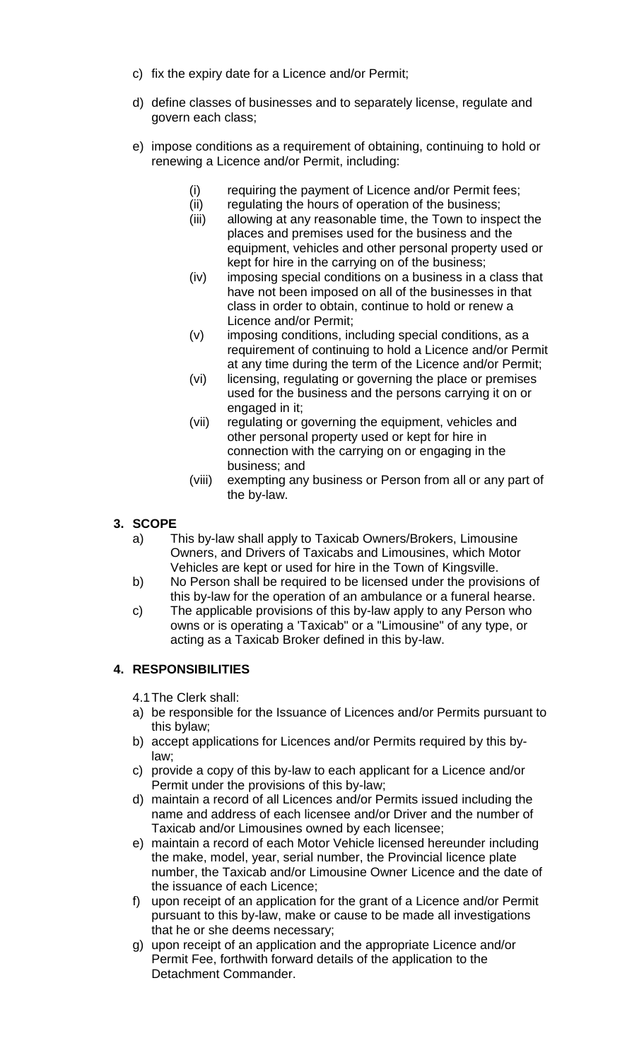- c) fix the expiry date for a Licence and/or Permit;
- d) define classes of businesses and to separately license, regulate and govern each class;
- e) impose conditions as a requirement of obtaining, continuing to hold or renewing a Licence and/or Permit, including:
	- (i) requiring the payment of Licence and/or Permit fees;
	- (ii) regulating the hours of operation of the business;
	- (iii) allowing at any reasonable time, the Town to inspect the places and premises used for the business and the equipment, vehicles and other personal property used or kept for hire in the carrying on of the business;
	- (iv) imposing special conditions on a business in a class that have not been imposed on all of the businesses in that class in order to obtain, continue to hold or renew a Licence and/or Permit;
	- (v) imposing conditions, including special conditions, as a requirement of continuing to hold a Licence and/or Permit at any time during the term of the Licence and/or Permit;
	- (vi) licensing, regulating or governing the place or premises used for the business and the persons carrying it on or engaged in it;
	- (vii) regulating or governing the equipment, vehicles and other personal property used or kept for hire in connection with the carrying on or engaging in the business; and
	- (viii) exempting any business or Person from all or any part of the by-law.

# **3. SCOPE**

- a) This by-law shall apply to Taxicab Owners/Brokers, Limousine Owners, and Drivers of Taxicabs and Limousines, which Motor Vehicles are kept or used for hire in the Town of Kingsville.
- b) No Person shall be required to be licensed under the provisions of this by-law for the operation of an ambulance or a funeral hearse.
- c) The applicable provisions of this by-law apply to any Person who owns or is operating a 'Taxicab" or a "Limousine" of any type, or acting as a Taxicab Broker defined in this by-law.

# **4. RESPONSIBILITIES**

4.1The Clerk shall:

- a) be responsible for the Issuance of Licences and/or Permits pursuant to this bylaw;
- b) accept applications for Licences and/or Permits required by this bylaw;
- c) provide a copy of this by-law to each applicant for a Licence and/or Permit under the provisions of this by-law;
- d) maintain a record of all Licences and/or Permits issued including the name and address of each licensee and/or Driver and the number of Taxicab and/or Limousines owned by each licensee;
- e) maintain a record of each Motor Vehicle licensed hereunder including the make, model, year, serial number, the Provincial licence plate number, the Taxicab and/or Limousine Owner Licence and the date of the issuance of each Licence;
- f) upon receipt of an application for the grant of a Licence and/or Permit pursuant to this by-law, make or cause to be made all investigations that he or she deems necessary;
- g) upon receipt of an application and the appropriate Licence and/or Permit Fee, forthwith forward details of the application to the Detachment Commander.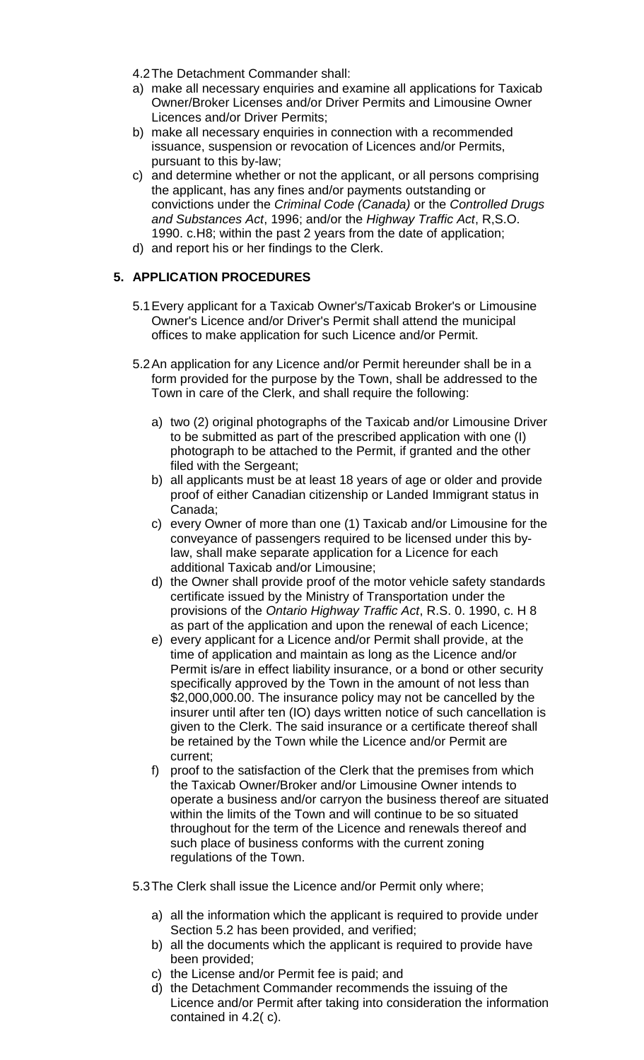- 4.2The Detachment Commander shall:
- a) make all necessary enquiries and examine all applications for Taxicab Owner/Broker Licenses and/or Driver Permits and Limousine Owner Licences and/or Driver Permits;
- b) make all necessary enquiries in connection with a recommended issuance, suspension or revocation of Licences and/or Permits, pursuant to this by-law;
- c) and determine whether or not the applicant, or all persons comprising the applicant, has any fines and/or payments outstanding or convictions under the *Criminal Code (Canada)* or the *Controlled Drugs and Substances Act*, 1996; and/or the *Highway Traffic Act*, R,S.O. 1990. c.H8; within the past 2 years from the date of application;
- d) and report his or her findings to the Clerk.

# **5. APPLICATION PROCEDURES**

- 5.1Every applicant for a Taxicab Owner's/Taxicab Broker's or Limousine Owner's Licence and/or Driver's Permit shall attend the municipal offices to make application for such Licence and/or Permit.
- 5.2An application for any Licence and/or Permit hereunder shall be in a form provided for the purpose by the Town, shall be addressed to the Town in care of the Clerk, and shall require the following:
	- a) two (2) original photographs of the Taxicab and/or Limousine Driver to be submitted as part of the prescribed application with one (I) photograph to be attached to the Permit, if granted and the other filed with the Sergeant;
	- b) all applicants must be at least 18 years of age or older and provide proof of either Canadian citizenship or Landed Immigrant status in Canada;
	- c) every Owner of more than one (1) Taxicab and/or Limousine for the conveyance of passengers required to be licensed under this bylaw, shall make separate application for a Licence for each additional Taxicab and/or Limousine;
	- d) the Owner shall provide proof of the motor vehicle safety standards certificate issued by the Ministry of Transportation under the provisions of the *Ontario Highway Traffic Act*, R.S. 0. 1990, c. H 8 as part of the application and upon the renewal of each Licence;
	- e) every applicant for a Licence and/or Permit shall provide, at the time of application and maintain as long as the Licence and/or Permit is/are in effect liability insurance, or a bond or other security specifically approved by the Town in the amount of not less than \$2,000,000.00. The insurance policy may not be cancelled by the insurer until after ten (IO) days written notice of such cancellation is given to the Clerk. The said insurance or a certificate thereof shall be retained by the Town while the Licence and/or Permit are current;
	- f) proof to the satisfaction of the Clerk that the premises from which the Taxicab Owner/Broker and/or Limousine Owner intends to operate a business and/or carryon the business thereof are situated within the limits of the Town and will continue to be so situated throughout for the term of the Licence and renewals thereof and such place of business conforms with the current zoning regulations of the Town.

5.3The Clerk shall issue the Licence and/or Permit only where;

- a) all the information which the applicant is required to provide under Section 5.2 has been provided, and verified;
- b) all the documents which the applicant is required to provide have been provided;
- c) the License and/or Permit fee is paid; and
- d) the Detachment Commander recommends the issuing of the Licence and/or Permit after taking into consideration the information contained in 4.2( c).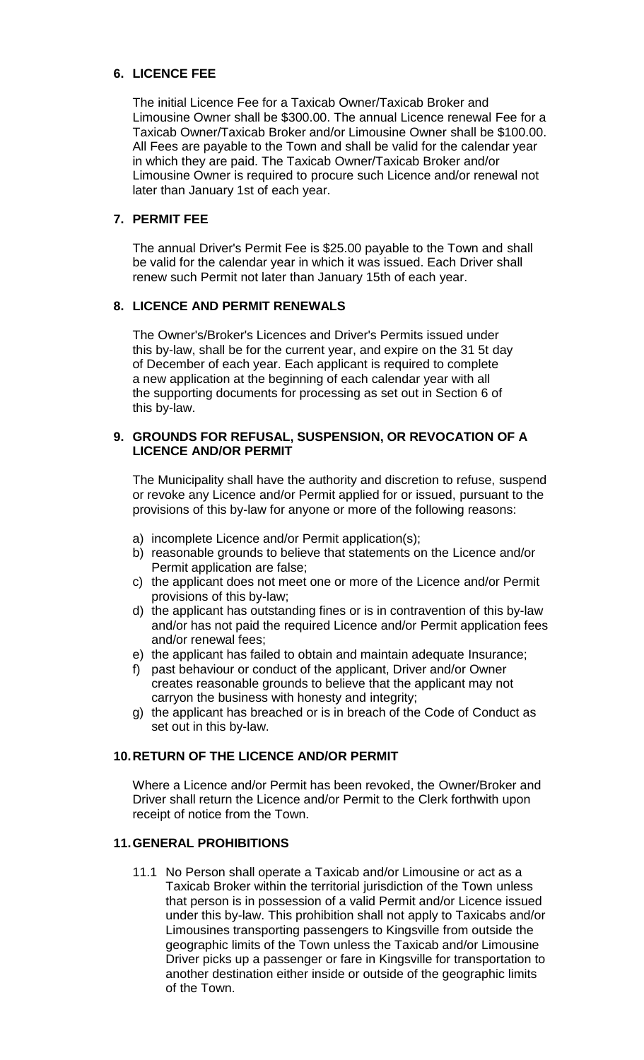# **6. LICENCE FEE**

The initial Licence Fee for a Taxicab Owner/Taxicab Broker and Limousine Owner shall be \$300.00. The annual Licence renewal Fee for a Taxicab Owner/Taxicab Broker and/or Limousine Owner shall be \$100.00. All Fees are payable to the Town and shall be valid for the calendar year in which they are paid. The Taxicab Owner/Taxicab Broker and/or Limousine Owner is required to procure such Licence and/or renewal not later than January 1st of each year.

# **7. PERMIT FEE**

The annual Driver's Permit Fee is \$25.00 payable to the Town and shall be valid for the calendar year in which it was issued. Each Driver shall renew such Permit not later than January 15th of each year.

### **8. LICENCE AND PERMIT RENEWALS**

The Owner's/Broker's Licences and Driver's Permits issued under this by-law, shall be for the current year, and expire on the 31 5t day of December of each year. Each applicant is required to complete a new application at the beginning of each calendar year with all the supporting documents for processing as set out in Section 6 of this by-law.

### **9. GROUNDS FOR REFUSAL, SUSPENSION, OR REVOCATION OF A LICENCE AND/OR PERMIT**

The Municipality shall have the authority and discretion to refuse, suspend or revoke any Licence and/or Permit applied for or issued, pursuant to the provisions of this by-law for anyone or more of the following reasons:

- a) incomplete Licence and/or Permit application(s);
- b) reasonable grounds to believe that statements on the Licence and/or Permit application are false;
- c) the applicant does not meet one or more of the Licence and/or Permit provisions of this by-law;
- d) the applicant has outstanding fines or is in contravention of this by-law and/or has not paid the required Licence and/or Permit application fees and/or renewal fees;
- e) the applicant has failed to obtain and maintain adequate Insurance;
- f) past behaviour or conduct of the applicant, Driver and/or Owner creates reasonable grounds to believe that the applicant may not carryon the business with honesty and integrity;
- g) the applicant has breached or is in breach of the Code of Conduct as set out in this by-law.

# **10.RETURN OF THE LICENCE AND/OR PERMIT**

Where a Licence and/or Permit has been revoked, the Owner/Broker and Driver shall return the Licence and/or Permit to the Clerk forthwith upon receipt of notice from the Town.

## **11.GENERAL PROHIBITIONS**

11.1 No Person shall operate a Taxicab and/or Limousine or act as a Taxicab Broker within the territorial jurisdiction of the Town unless that person is in possession of a valid Permit and/or Licence issued under this by-law. This prohibition shall not apply to Taxicabs and/or Limousines transporting passengers to Kingsville from outside the geographic limits of the Town unless the Taxicab and/or Limousine Driver picks up a passenger or fare in Kingsville for transportation to another destination either inside or outside of the geographic limits of the Town.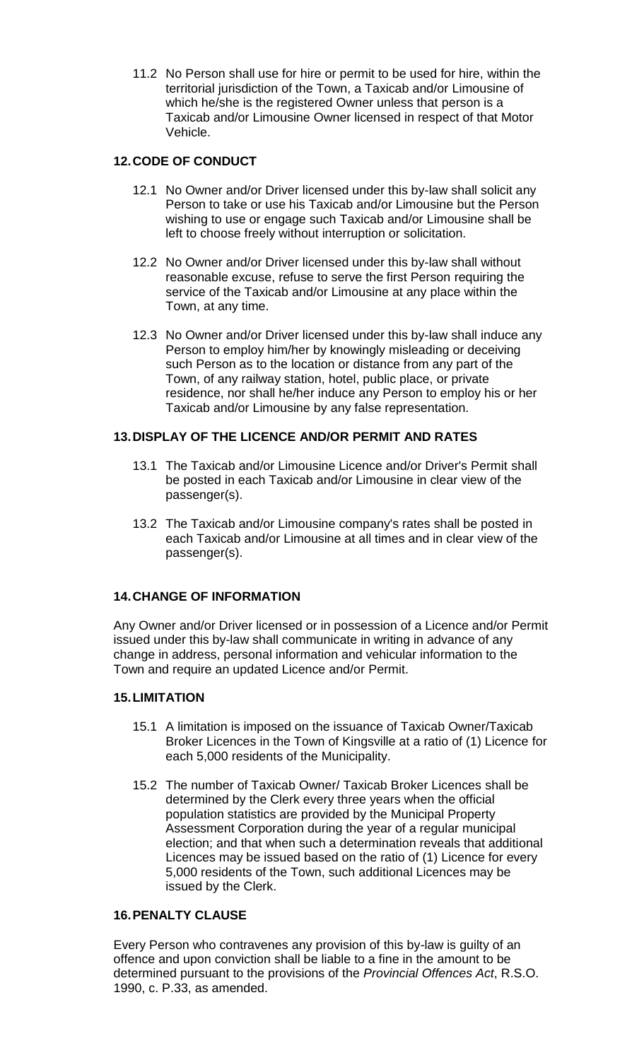11.2 No Person shall use for hire or permit to be used for hire, within the territorial jurisdiction of the Town, a Taxicab and/or Limousine of which he/she is the registered Owner unless that person is a Taxicab and/or Limousine Owner licensed in respect of that Motor Vehicle.

## **12.CODE OF CONDUCT**

- 12.1 No Owner and/or Driver licensed under this by-law shall solicit any Person to take or use his Taxicab and/or Limousine but the Person wishing to use or engage such Taxicab and/or Limousine shall be left to choose freely without interruption or solicitation.
- 12.2 No Owner and/or Driver licensed under this by-law shall without reasonable excuse, refuse to serve the first Person requiring the service of the Taxicab and/or Limousine at any place within the Town, at any time.
- 12.3 No Owner and/or Driver licensed under this by-law shall induce any Person to employ him/her by knowingly misleading or deceiving such Person as to the location or distance from any part of the Town, of any railway station, hotel, public place, or private residence, nor shall he/her induce any Person to employ his or her Taxicab and/or Limousine by any false representation.

### **13.DISPLAY OF THE LICENCE AND/OR PERMIT AND RATES**

- 13.1 The Taxicab and/or Limousine Licence and/or Driver's Permit shall be posted in each Taxicab and/or Limousine in clear view of the passenger(s).
- 13.2 The Taxicab and/or Limousine company's rates shall be posted in each Taxicab and/or Limousine at all times and in clear view of the passenger(s).

### **14.CHANGE OF INFORMATION**

Any Owner and/or Driver licensed or in possession of a Licence and/or Permit issued under this by-law shall communicate in writing in advance of any change in address, personal information and vehicular information to the Town and require an updated Licence and/or Permit.

### **15.LIMITATION**

- 15.1 A limitation is imposed on the issuance of Taxicab Owner/Taxicab Broker Licences in the Town of Kingsville at a ratio of (1) Licence for each 5,000 residents of the Municipality.
- 15.2 The number of Taxicab Owner/ Taxicab Broker Licences shall be determined by the Clerk every three years when the official population statistics are provided by the Municipal Property Assessment Corporation during the year of a regular municipal election; and that when such a determination reveals that additional Licences may be issued based on the ratio of (1) Licence for every 5,000 residents of the Town, such additional Licences may be issued by the Clerk.

# **16.PENALTY CLAUSE**

Every Person who contravenes any provision of this by-law is guilty of an offence and upon conviction shall be liable to a fine in the amount to be determined pursuant to the provisions of the *Provincial Offences Act*, R.S.O. 1990, c. P.33, as amended.